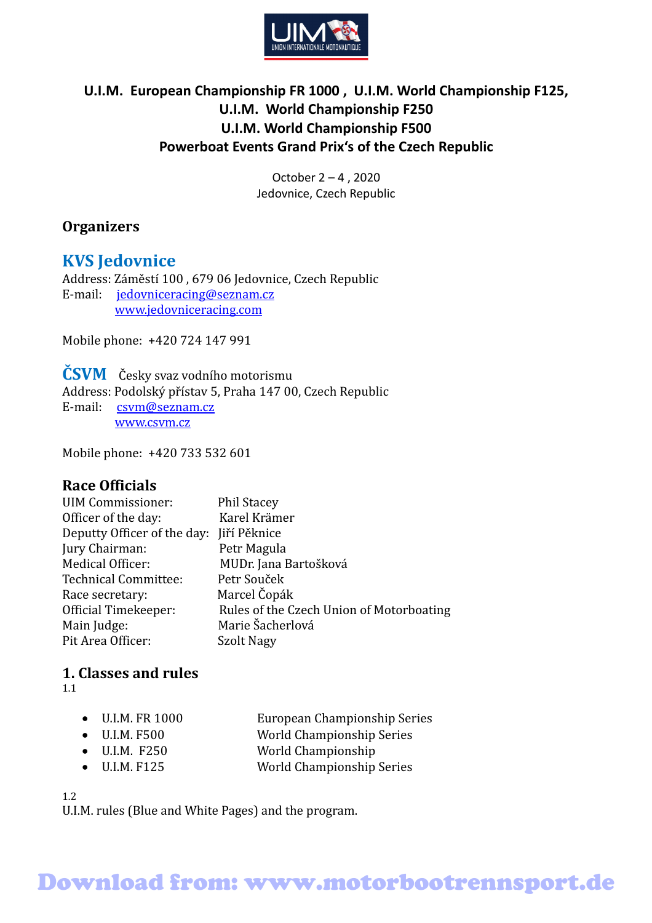

## **U.I.M. European Championship FR 1000 , U.I.M. World Championship F125, U.I.M. World Championship F250 U.I.M. World Championship F500 Powerboat Events Grand Prix's of the Czech Republic**

October 2 – 4 , 2020 Jedovnice, Czech Republic

### **Organizers**

## **KVS Jedovnice**

Address: Záměstí 100 , 679 06 Jedovnice, Czech Republic E-mail: jedovniceracing@seznam.cz  [www.jedovnicer](http://www.jedovnice-gp.cz/)acing.com

Mobile phone: +420 724 147 991

**ČSVM** Česky svaz vodního motorismu Address: Podolský přístav 5, Praha 147 00, Czech Republic E-mail: csvm@seznam.cz [www.csvm.cz](http://www.csvm.cz/)

Mobile phone: +420 733 532 601

### **Race Officials**

| <b>UIM Commissioner:</b>    | <b>Phil Stacey</b>                       |
|-----------------------------|------------------------------------------|
| Officer of the day:         | Karel Krämer                             |
| Deputty Officer of the day: | Jiří Pěknice                             |
| Jury Chairman:              | Petr Magula                              |
| Medical Officer:            | MUDr. Jana Bartošková                    |
| <b>Technical Committee:</b> | Petr Souček                              |
| Race secretary:             | Marcel Čopák                             |
| Official Timekeeper:        | Rules of the Czech Union of Motorboating |
| Main Judge:                 | Marie Šacherlová                         |
| Pit Area Officer:           | Szolt Nagy                               |

## **1. Classes and rules**

1.1

| $\bullet$ U.I.M. FR 1000 | European Championship Series |
|--------------------------|------------------------------|
| $\bullet$ U.I.M. F500    | World Championship Series    |

- U.I.M. F250 World Championship
- U.I.M. F125 World Championship Series

1.2

U.I.M. rules (Blue and White Pages) and the program.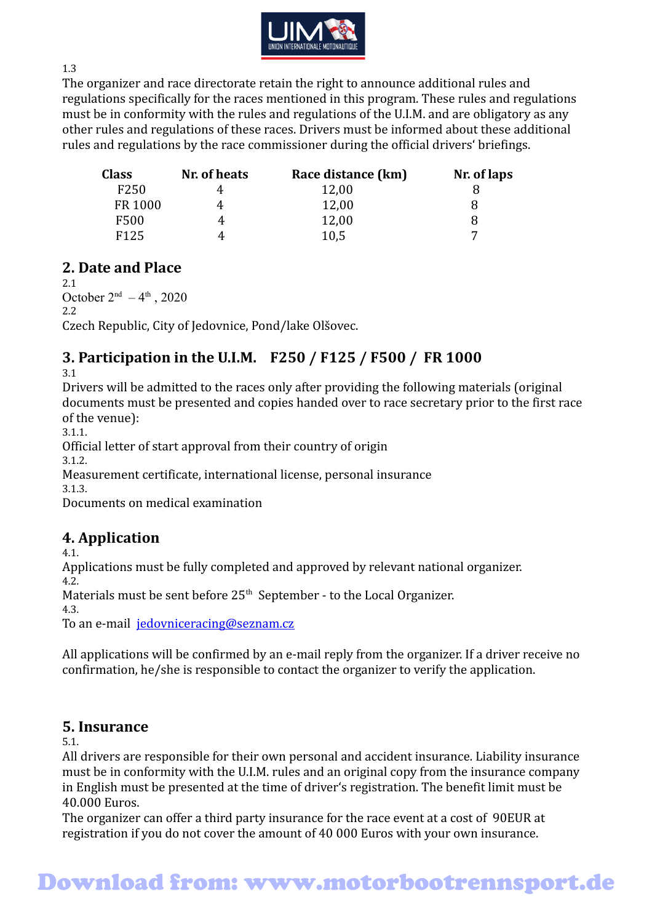

1.3

The organizer and race directorate retain the right to announce additional rules and regulations specifically for the races mentioned in this program. These rules and regulations must be in conformity with the rules and regulations of the U.I.M. and are obligatory as any other rules and regulations of these races. Drivers must be informed about these additional rules and regulations by the race commissioner during the official drivers' briefings.

| <b>Class</b>     | Nr. of heats | Race distance (km) | Nr. of laps |
|------------------|--------------|--------------------|-------------|
| F <sub>250</sub> |              | 12,00              |             |
| FR 1000          |              | 12,00              |             |
| F500             |              | 12,00              |             |
| F <sub>125</sub> |              | 10,5               | ⇁           |

## **2. Date and Place**

2.1 October  $2<sup>nd</sup> - 4<sup>th</sup>$ , 2020 2.2 Czech Republic, City of Jedovnice, Pond/lake Olšovec.

## **3. Participation in the U.I.M. F250 / F125 / F500 / FR 1000**

3.1

Drivers will be admitted to the races only after providing the following materials (original documents must be presented and copies handed over to race secretary prior to the first race of the venue):

3.1.1.

Official letter of start approval from their country of origin

3.1.2.

Measurement certificate, international license, personal insurance

3.1.3.

Documents on medical examination

## **4. Application**

4.1.

Applications must be fully completed and approved by relevant national organizer. 4.2.

Materials must be sent before  $25<sup>th</sup>$  September - to the Local Organizer.

4.3.

To an e-mail jedovniceracing@seznam.cz

All applications will be confirmed by an e-mail reply from the organizer. If a driver receive no confirmation, he/she is responsible to contact the organizer to verify the application.

### **5. Insurance**

5.1.

All drivers are responsible for their own personal and accident insurance. Liability insurance must be in conformity with the U.I.M. rules and an original copy from the insurance company in English must be presented at the time of driver's registration. The benefit limit must be 40.000 Euros.

The organizer can offer a third party insurance for the race event at a cost of 90EUR at registration if you do not cover the amount of 40 000 Euros with your own insurance.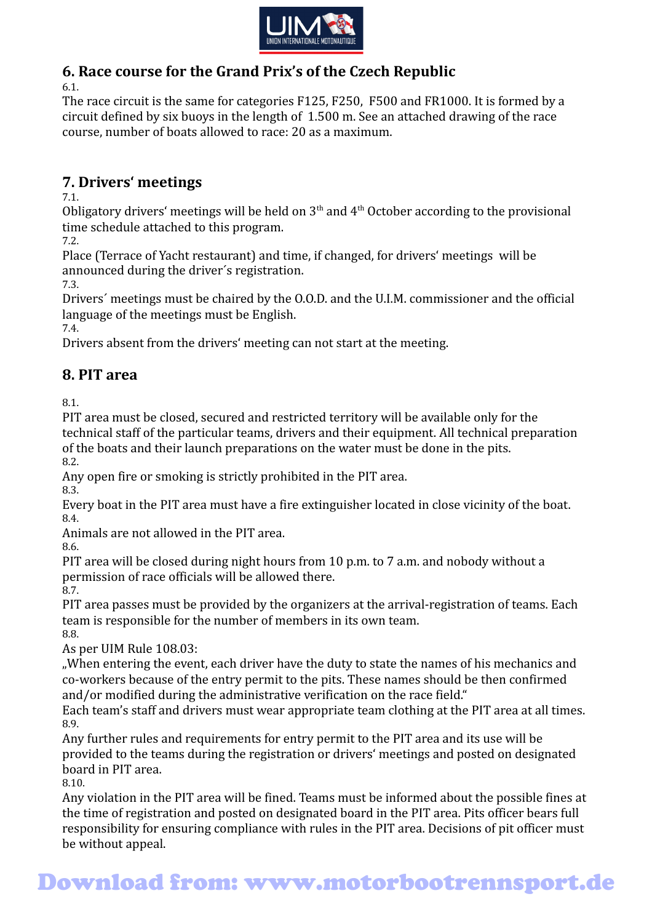

## **6. Race course for the Grand Prix's of the Czech Republic**

6.1.

The race circuit is the same for categories F125, F250, F500 and FR1000. It is formed by a circuit defined by six buoys in the length of 1.500 m. See an attached drawing of the race course, number of boats allowed to race: 20 as a maximum.

## **7. Drivers' meetings**

7.1.

Obligatory drivers' meetings will be held on  $3<sup>th</sup>$  and  $4<sup>th</sup>$  October according to the provisional time schedule attached to this program.

7.2.

Place (Terrace of Yacht restaurant) and time, if changed, for drivers' meetings will be announced during the driver´s registration.

7.3.

Drivers´ meetings must be chaired by the O.O.D. and the U.I.M. commissioner and the official language of the meetings must be English.

7.4.

Drivers absent from the drivers' meeting can not start at the meeting.

## **8. PIT area**

8.1.

PIT area must be closed, secured and restricted territory will be available only for the technical staff of the particular teams, drivers and their equipment. All technical preparation of the boats and their launch preparations on the water must be done in the pits. 8.2.

Any open fire or smoking is strictly prohibited in the PIT area.

8.3.

Every boat in the PIT area must have a fire extinguisher located in close vicinity of the boat. 8.4.

Animals are not allowed in the PIT area.

8.6.

PIT area will be closed during night hours from 10 p.m. to 7 a.m. and nobody without a permission of race officials will be allowed there.

8.7.

PIT area passes must be provided by the organizers at the arrival-registration of teams. Each team is responsible for the number of members in its own team. 8.8.

As per UIM Rule 108.03:

"When entering the event, each driver have the duty to state the names of his mechanics and co-workers because of the entry permit to the pits. These names should be then confirmed and/or modified during the administrative verification on the race field."

Each team's staff and drivers must wear appropriate team clothing at the PIT area at all times. 8.9.

Any further rules and requirements for entry permit to the PIT area and its use will be provided to the teams during the registration or drivers' meetings and posted on designated board in PIT area.

8.10.

Any violation in the PIT area will be fined. Teams must be informed about the possible fines at the time of registration and posted on designated board in the PIT area. Pits officer bears full responsibility for ensuring compliance with rules in the PIT area. Decisions of pit officer must be without appeal.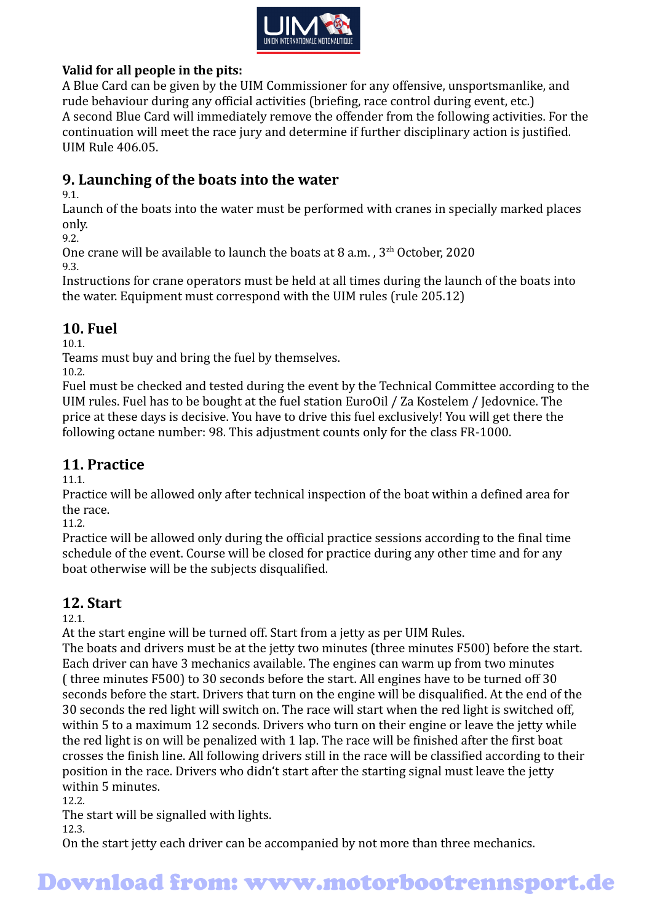

#### **Valid for all people in the pits:**

A Blue Card can be given by the UIM Commissioner for any offensive, unsportsmanlike, and rude behaviour during any official activities (briefing, race control during event, etc.) A second Blue Card will immediately remove the offender from the following activities. For the continuation will meet the race jury and determine if further disciplinary action is justified. UIM Rule 406.05.

## **9. Launching of the boats into the water**

9.1.

Launch of the boats into the water must be performed with cranes in specially marked places only.

9.2.

One crane will be available to launch the boats at 8 a.m.,  $3<sup>zh</sup>$  October, 2020 9.3.

Instructions for crane operators must be held at all times during the launch of the boats into the water. Equipment must correspond with the UIM rules (rule 205.12)

## **10. Fuel**

10.1.

Teams must buy and bring the fuel by themselves.

10.2.

Fuel must be checked and tested during the event by the Technical Committee according to the UIM rules. Fuel has to be bought at the fuel station EuroOil / Za Kostelem / Jedovnice. The price at these days is decisive. You have to drive this fuel exclusively! You will get there the following octane number: 98. This adjustment counts only for the class FR-1000.

### **11. Practice**

11.1.

Practice will be allowed only after technical inspection of the boat within a defined area for the race.

11.2.

Practice will be allowed only during the official practice sessions according to the final time schedule of the event. Course will be closed for practice during any other time and for any boat otherwise will be the subjects disqualified.

## **12. Start**

12.1.

At the start engine will be turned off. Start from a jetty as per UIM Rules.

The boats and drivers must be at the jetty two minutes (three minutes F500) before the start. Each driver can have 3 mechanics available. The engines can warm up from two minutes ( three minutes F500) to 30 seconds before the start. All engines have to be turned off 30 seconds before the start. Drivers that turn on the engine will be disqualified. At the end of the 30 seconds the red light will switch on. The race will start when the red light is switched off, within 5 to a maximum 12 seconds. Drivers who turn on their engine or leave the jetty while the red light is on will be penalized with 1 lap. The race will be finished after the first boat crosses the finish line. All following drivers still in the race will be classified according to their position in the race. Drivers who didn't start after the starting signal must leave the jetty within 5 minutes.

12.2.

The start will be signalled with lights.

12.3.

On the start jetty each driver can be accompanied by not more than three mechanics.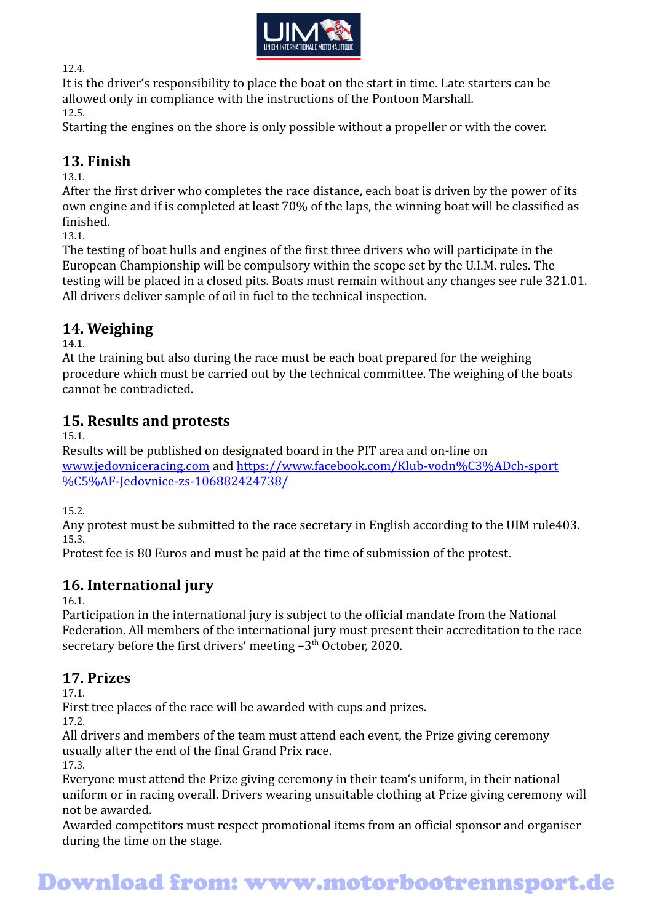

12.4.

It is the driver's responsibility to place the boat on the start in time. Late starters can be allowed only in compliance with the instructions of the Pontoon Marshall. 12.5.

Starting the engines on the shore is only possible without a propeller or with the cover.

#### **13. Finish**

13.1.

After the first driver who completes the race distance, each boat is driven by the power of its own engine and if is completed at least 70% of the laps, the winning boat will be classified as finished.

13.1.

The testing of boat hulls and engines of the first three drivers who will participate in the European Championship will be compulsory within the scope set by the U.I.M. rules. The testing will be placed in a closed pits. Boats must remain without any changes see rule 321.01. All drivers deliver sample of oil in fuel to the technical inspection.

## **14. Weighing**

14.1.

At the training but also during the race must be each boat prepared for the weighing procedure which must be carried out by the technical committee. The weighing of the boats cannot be contradicted.

## **15. Results and protests**

15.1.

Results will be published on designated board in the PIT area and on-line on [www.jedovniceracing.com](http://www.jedovniceracing.com/) and [https://www.facebook.com/Klub-vodn%C3%ADch-sport](https://www.facebook.com/Klub-vodn%C3%ADch-sport%C5%AF-Jedovnice-zs-106882424738/) [%C5%AF-Jedovnice-zs-106882424738/](https://www.facebook.com/Klub-vodn%C3%ADch-sport%C5%AF-Jedovnice-zs-106882424738/)

15.2.

Any protest must be submitted to the race secretary in English according to the UIM rule403. 15.3.

Protest fee is 80 Euros and must be paid at the time of submission of the protest.

## **16. International jury**

16.1.

Participation in the international jury is subject to the official mandate from the National Federation. All members of the international jury must present their accreditation to the race secretary before the first drivers' meeting  $-3<sup>th</sup>$  October, 2020.

## **17. Prizes**

17.1.

First tree places of the race will be awarded with cups and prizes.

17.2.

All drivers and members of the team must attend each event, the Prize giving ceremony usually after the end of the final Grand Prix race.

17.3.

Everyone must attend the Prize giving ceremony in their team's uniform, in their national uniform or in racing overall. Drivers wearing unsuitable clothing at Prize giving ceremony will not be awarded.

Awarded competitors must respect promotional items from an official sponsor and organiser during the time on the stage.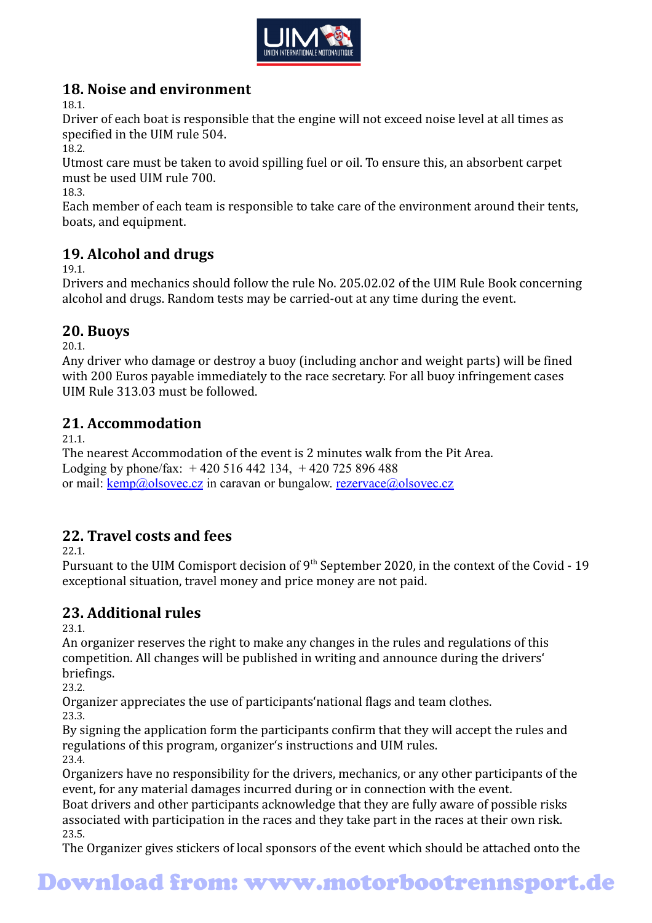

## **18. Noise and environment**

18.1.

Driver of each boat is responsible that the engine will not exceed noise level at all times as specified in the UIM rule 504.

18.2.

Utmost care must be taken to avoid spilling fuel or oil. To ensure this, an absorbent carpet must be used UIM rule 700.

18.3.

Each member of each team is responsible to take care of the environment around their tents, boats, and equipment.

## **19. Alcohol and drugs**

19.1.

Drivers and mechanics should follow the rule No. 205.02.02 of the UIM Rule Book concerning alcohol and drugs. Random tests may be carried-out at any time during the event.

## **20. Buoys**

20.1.

Any driver who damage or destroy a buoy (including anchor and weight parts) will be fined with 200 Euros payable immediately to the race secretary. For all buoy infringement cases UIM Rule 313.03 must be followed.

## **21. Accommodation**

21.1.

The nearest Accommodation of the event is 2 minutes walk from the Pit Area. Lodging by phone/fax:  $+420516442134$ ,  $+420725896488$ or mail: <u>kemp@olsovec.cz</u> in caravan or bungalow. [rezervace@olsovec.cz](mailto:rezervace@olsovec.cz)

## **22. Travel costs and fees**

22.1.

Pursuant to the UIM Comisport decision of 9<sup>th</sup> September 2020, in the context of the Covid - 19 exceptional situation, travel money and price money are not paid.

## **23. Additional rules**

23.1.

An organizer reserves the right to make any changes in the rules and regulations of this competition. All changes will be published in writing and announce during the drivers' briefings.

23.2.

Organizer appreciates the use of participants'national flags and team clothes. 23.3.

By signing the application form the participants confirm that they will accept the rules and regulations of this program, organizer's instructions and UIM rules. 23.4.

Organizers have no responsibility for the drivers, mechanics, or any other participants of the event, for any material damages incurred during or in connection with the event.

Boat drivers and other participants acknowledge that they are fully aware of possible risks associated with participation in the races and they take part in the races at their own risk. 23.5.

The Organizer gives stickers of local sponsors of the event which should be attached onto the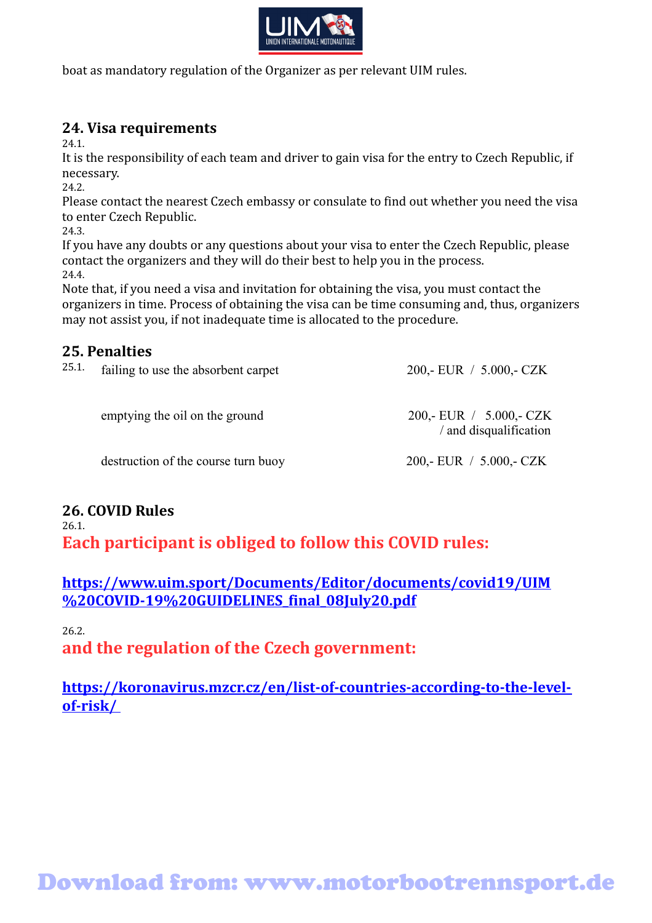

boat as mandatory regulation of the Organizer as per relevant UIM rules.

## **24. Visa requirements**

24.1.

It is the responsibility of each team and driver to gain visa for the entry to Czech Republic, if necessary.

24.2.

Please contact the nearest Czech embassy or consulate to find out whether you need the visa to enter Czech Republic.

24.3.

If you have any doubts or any questions about your visa to enter the Czech Republic, please contact the organizers and they will do their best to help you in the process. 24.4.

Note that, if you need a visa and invitation for obtaining the visa, you must contact the organizers in time. Process of obtaining the visa can be time consuming and, thus, organizers may not assist you, if not inadequate time is allocated to the procedure.

## **25. Penalties**

| 25.1. | failing to use the absorbent carpet | 200,- EUR $/$ 5.000,- CZK                           |
|-------|-------------------------------------|-----------------------------------------------------|
|       | emptying the oil on the ground      | 200,- EUR $/$ 5.000,- CZK<br>/ and disqualification |
|       | destruction of the course turn buoy | 200,- EUR $/$ 5.000,- CZK                           |
|       |                                     |                                                     |

#### **26. COVID Rules** 26.1.

**Each participant is obliged to follow this COVID rules:** 

**[https://www.uim.sport/Documents/Editor/documents/covid19/UIM](https://www.uim.sport/Documents/Editor/documents/covid19/UIM%20COVID-19%20GUIDELINES_final_08July20.pdf) [%20COVID-19%20GUIDELINES\\_final\\_08July20.pdf](https://www.uim.sport/Documents/Editor/documents/covid19/UIM%20COVID-19%20GUIDELINES_final_08July20.pdf)**

26.2.

**and the regulation of the Czech government:** 

**[https://koronavirus.mzcr.cz/en/list-of-countries-according-to-the-level](https://koronavirus.mzcr.cz/en/list-of-countries-according-to-the-level-of-risk/)[of-risk/](https://koronavirus.mzcr.cz/en/list-of-countries-according-to-the-level-of-risk/)**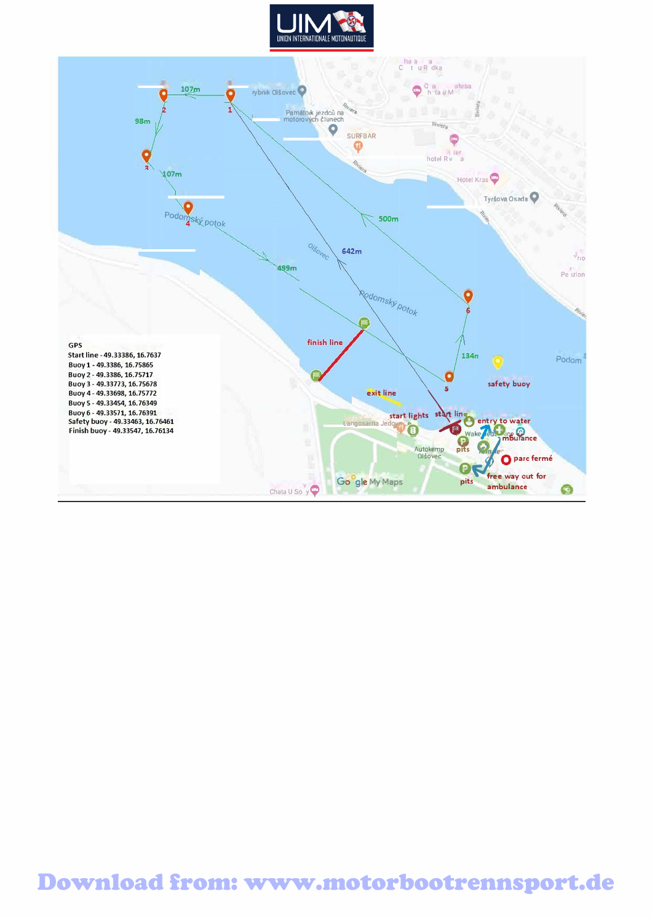